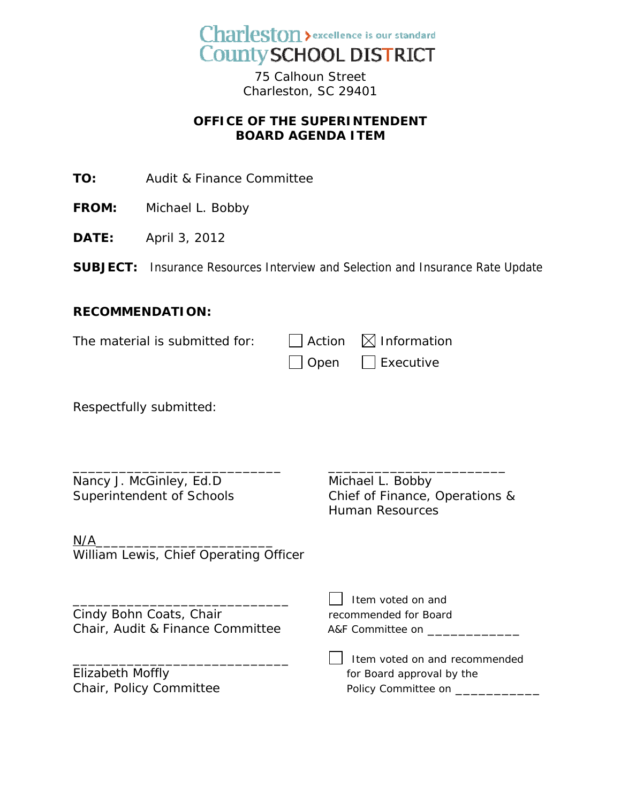

75 Calhoun Street Charleston, SC 29401

## **OFFICE OF THE SUPERINTENDENT BOARD AGENDA ITEM**

**TO:** Audit & Finance Committee

- **FROM:** Michael L. Bobby
- **DATE:** April 3, 2012
- **SUBJECT:** Insurance Resources Interview and Selection and Insurance Rate Update

## **RECOMMENDATION:**

| The material is submitted for: | $\Box$ Action $\boxtimes$ Information |
|--------------------------------|---------------------------------------|
|                                | $\Box$ Open $\Box$ Executive          |

\_\_\_\_\_\_\_\_\_\_\_\_\_\_\_\_\_\_\_\_\_\_\_\_\_\_\_ \_\_\_\_\_\_\_\_\_\_\_\_\_\_\_\_\_\_\_\_\_\_\_

Respectfully submitted:

Nancy J. McGinley, Ed.D Michael L. Bobby Superintendent of Schools Chief of Finance, Operations &

 $N/A$ William Lewis, Chief Operating Officer

Cindy Bohn Coats, Chair The Commended for Board Chair, Audit & Finance Committee A&F Committee on \_\_\_\_\_\_\_\_\_\_\_\_\_\_\_\_\_\_\_\_\_\_\_\_\_\_\_\_\_\_

Elizabeth Moffly Chair, Policy Committee Human Resources

 $\Box$  Item voted on and recommended

 $\Box$  Item voted on and

| <b>THE THE VOICU OIL AND TECONOMIC IDEU</b> |
|---------------------------------------------|
| for Board approval by the                   |
| Policy Committee on                         |
|                                             |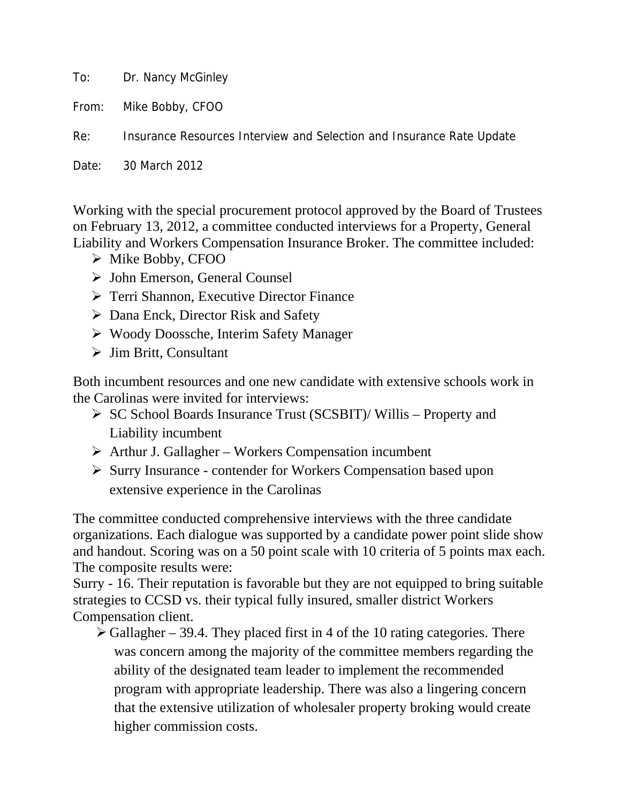To: Dr. Nancy McGinley

From: Mike Bobby, CFOO

Re: Insurance Resources Interview and Selection and Insurance Rate Update

Date: 30 March 2012

Working with the special procurement protocol approved by the Board of Trustees on February 13, 2012, a committee conducted interviews for a Property, General Liability and Workers Compensation Insurance Broker. The committee included:

- $\triangleright$  Mike Bobby, CFOO
- ¾ John Emerson, General Counsel
- $\triangleright$  Terri Shannon, Executive Director Finance
- $\triangleright$  Dana Enck, Director Risk and Safety
- ¾ Woody Doossche, Interim Safety Manager
- $\triangleright$  Jim Britt, Consultant

Both incumbent resources and one new candidate with extensive schools work in the Carolinas were invited for interviews:

- ¾ SC School Boards Insurance Trust (SCSBIT)/ Willis Property and Liability incumbent
- $\triangleright$  Arthur J. Gallagher Workers Compensation incumbent
- ¾ Surry Insurance contender for Workers Compensation based upon extensive experience in the Carolinas

The committee conducted comprehensive interviews with the three candidate organizations. Each dialogue was supported by a candidate power point slide show and handout. Scoring was on a 50 point scale with 10 criteria of 5 points max each. The composite results were:

Surry - 16. Their reputation is favorable but they are not equipped to bring suitable strategies to CCSD vs. their typical fully insured, smaller district Workers Compensation client.

 $\triangleright$  Gallagher – 39.4. They placed first in 4 of the 10 rating categories. There was concern among the majority of the committee members regarding the ability of the designated team leader to implement the recommended program with appropriate leadership. There was also a lingering concern that the extensive utilization of wholesaler property broking would create higher commission costs.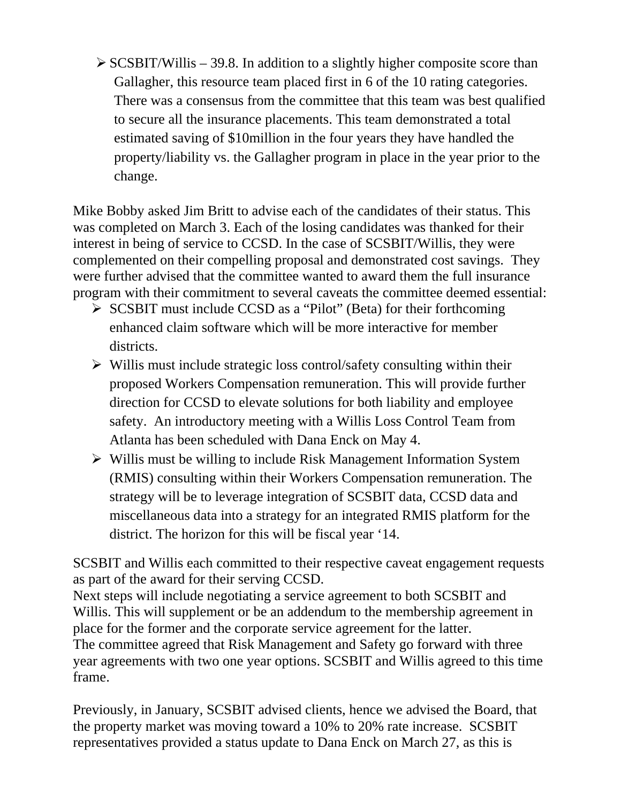$\triangleright$  SCSBIT/Willis – 39.8. In addition to a slightly higher composite score than Gallagher, this resource team placed first in 6 of the 10 rating categories. There was a consensus from the committee that this team was best qualified to secure all the insurance placements. This team demonstrated a total estimated saving of \$10million in the four years they have handled the property/liability vs. the Gallagher program in place in the year prior to the change.

Mike Bobby asked Jim Britt to advise each of the candidates of their status. This was completed on March 3. Each of the losing candidates was thanked for their interest in being of service to CCSD. In the case of SCSBIT/Willis, they were complemented on their compelling proposal and demonstrated cost savings. They were further advised that the committee wanted to award them the full insurance program with their commitment to several caveats the committee deemed essential:

- $\triangleright$  SCSBIT must include CCSD as a "Pilot" (Beta) for their forthcoming enhanced claim software which will be more interactive for member districts.
- $\triangleright$  Willis must include strategic loss control/safety consulting within their proposed Workers Compensation remuneration. This will provide further direction for CCSD to elevate solutions for both liability and employee safety. An introductory meeting with a Willis Loss Control Team from Atlanta has been scheduled with Dana Enck on May 4.
- ¾ Willis must be willing to include Risk Management Information System (RMIS) consulting within their Workers Compensation remuneration. The strategy will be to leverage integration of SCSBIT data, CCSD data and miscellaneous data into a strategy for an integrated RMIS platform for the district. The horizon for this will be fiscal year '14.

SCSBIT and Willis each committed to their respective caveat engagement requests as part of the award for their serving CCSD.

Next steps will include negotiating a service agreement to both SCSBIT and Willis. This will supplement or be an addendum to the membership agreement in place for the former and the corporate service agreement for the latter. The committee agreed that Risk Management and Safety go forward with three year agreements with two one year options. SCSBIT and Willis agreed to this time frame.

Previously, in January, SCSBIT advised clients, hence we advised the Board, that the property market was moving toward a 10% to 20% rate increase. SCSBIT representatives provided a status update to Dana Enck on March 27, as this is